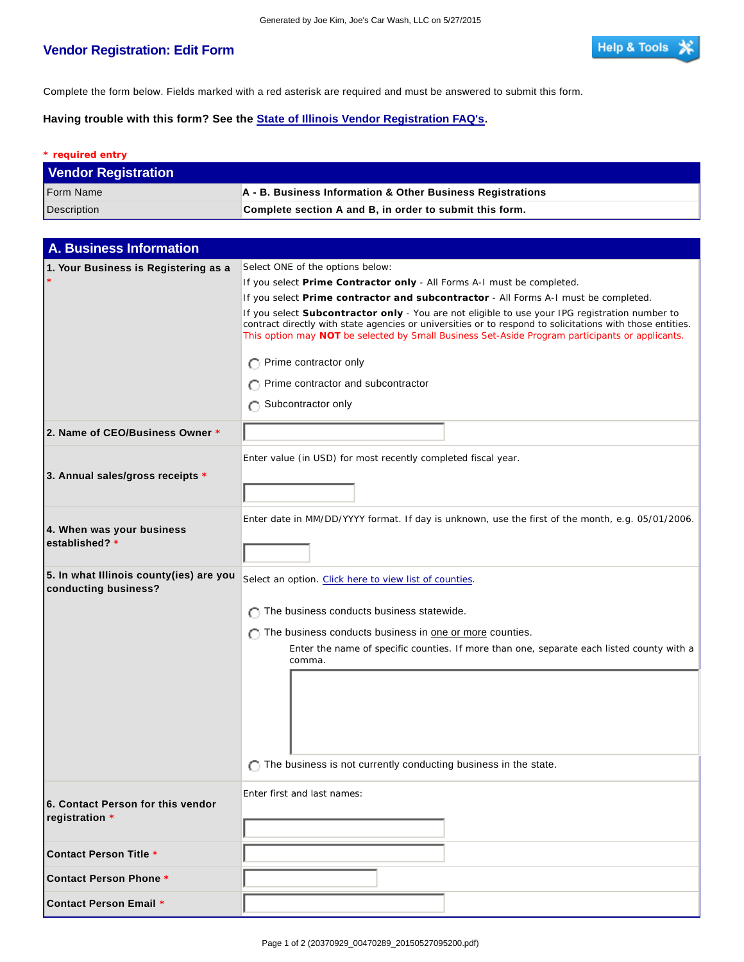## **Vendor Registration: Edit Form**

I

Complete the form below. Fields marked with a red asterisk are required and must be answered to submit this form.

**Having trouble with this form? See the State of Illinois Vendor Registration FAQ's.**

| * required entry           |                                                                       |  |  |
|----------------------------|-----------------------------------------------------------------------|--|--|
| <b>Vendor Registration</b> |                                                                       |  |  |
| <b>Form Name</b>           | $\mathsf{A}$ - B. Business Information & Other Business Registrations |  |  |
| <b>Description</b>         | Complete section A and B, in order to submit this form.               |  |  |

| <b>A. Business Information</b>                                  |                                                                                                                                                                                                                                                                                                                |  |  |  |  |  |
|-----------------------------------------------------------------|----------------------------------------------------------------------------------------------------------------------------------------------------------------------------------------------------------------------------------------------------------------------------------------------------------------|--|--|--|--|--|
| 1. Your Business is Registering as a                            | Select ONE of the options below:                                                                                                                                                                                                                                                                               |  |  |  |  |  |
|                                                                 | If you select Prime Contractor only - All Forms A-I must be completed.                                                                                                                                                                                                                                         |  |  |  |  |  |
|                                                                 | If you select Prime contractor and subcontractor - All Forms A-I must be completed.                                                                                                                                                                                                                            |  |  |  |  |  |
|                                                                 | If you select Subcontractor only - You are not eligible to use your IPG registration number to<br>contract directly with state agencies or universities or to respond to solicitations with those entities.<br>This option may NOT be selected by Small Business Set-Aside Program participants or applicants. |  |  |  |  |  |
|                                                                 | Prime contractor only                                                                                                                                                                                                                                                                                          |  |  |  |  |  |
|                                                                 | Prime contractor and subcontractor                                                                                                                                                                                                                                                                             |  |  |  |  |  |
|                                                                 | Subcontractor only                                                                                                                                                                                                                                                                                             |  |  |  |  |  |
| 2. Name of CEO/Business Owner *                                 |                                                                                                                                                                                                                                                                                                                |  |  |  |  |  |
|                                                                 | Enter value (in USD) for most recently completed fiscal year.                                                                                                                                                                                                                                                  |  |  |  |  |  |
| 3. Annual sales/gross receipts *                                |                                                                                                                                                                                                                                                                                                                |  |  |  |  |  |
|                                                                 | Enter date in MM/DD/YYYY format. If day is unknown, use the first of the month, e.g. 05/01/2006.                                                                                                                                                                                                               |  |  |  |  |  |
| 4. When was your business<br>established? *                     |                                                                                                                                                                                                                                                                                                                |  |  |  |  |  |
| 5. In what Illinois county(ies) are you<br>conducting business? | Select an option. Click here to view list of counties.                                                                                                                                                                                                                                                         |  |  |  |  |  |
|                                                                 | $\bigcap$ The business conducts business statewide.                                                                                                                                                                                                                                                            |  |  |  |  |  |
|                                                                 | The business conducts business in one or more counties.                                                                                                                                                                                                                                                        |  |  |  |  |  |
|                                                                 | Enter the name of specific counties. If more than one, separate each listed county with a<br>comma.                                                                                                                                                                                                            |  |  |  |  |  |
|                                                                 |                                                                                                                                                                                                                                                                                                                |  |  |  |  |  |
|                                                                 |                                                                                                                                                                                                                                                                                                                |  |  |  |  |  |
|                                                                 |                                                                                                                                                                                                                                                                                                                |  |  |  |  |  |
|                                                                 |                                                                                                                                                                                                                                                                                                                |  |  |  |  |  |
|                                                                 |                                                                                                                                                                                                                                                                                                                |  |  |  |  |  |
|                                                                 | The business is not currently conducting business in the state.                                                                                                                                                                                                                                                |  |  |  |  |  |
|                                                                 | Enter first and last names:                                                                                                                                                                                                                                                                                    |  |  |  |  |  |
| 6. Contact Person for this vendor<br>registration *             |                                                                                                                                                                                                                                                                                                                |  |  |  |  |  |
|                                                                 |                                                                                                                                                                                                                                                                                                                |  |  |  |  |  |
| Contact Person Title *                                          |                                                                                                                                                                                                                                                                                                                |  |  |  |  |  |
| Contact Person Phone *                                          |                                                                                                                                                                                                                                                                                                                |  |  |  |  |  |
| <b>Contact Person Email *</b>                                   |                                                                                                                                                                                                                                                                                                                |  |  |  |  |  |